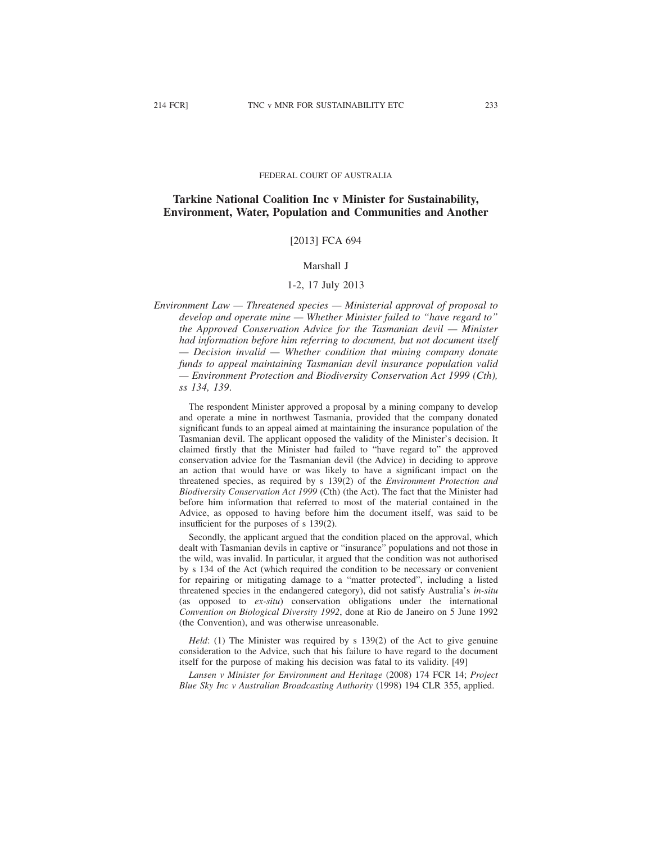#### FEDERAL COURT OF AUSTRALIA

# **Tarkine National Coalition Inc v Minister for Sustainability, Environment, Water, Population and Communities and Another**

## [2013] FCA 694

#### Marshall J

#### 1-2, 17 July 2013

*Environment Law — Threatened species — Ministerial approval of proposal to develop and operate mine — Whether Minister failed to "have regard to" the Approved Conservation Advice for the Tasmanian devil — Minister had information before him referring to document, but not document itself — Decision invalid — Whether condition that mining company donate funds to appeal maintaining Tasmanian devil insurance population valid — Environment Protection and Biodiversity Conservation Act 1999 (Cth), ss 134, 139*.

The respondent Minister approved a proposal by a mining company to develop and operate a mine in northwest Tasmania, provided that the company donated significant funds to an appeal aimed at maintaining the insurance population of the Tasmanian devil. The applicant opposed the validity of the Minister's decision. It claimed firstly that the Minister had failed to "have regard to" the approved conservation advice for the Tasmanian devil (the Advice) in deciding to approve an action that would have or was likely to have a significant impact on the threatened species, as required by s 139(2) of the *Environment Protection and Biodiversity Conservation Act 1999* (Cth) (the Act). The fact that the Minister had before him information that referred to most of the material contained in the Advice, as opposed to having before him the document itself, was said to be insufficient for the purposes of s 139(2).

Secondly, the applicant argued that the condition placed on the approval, which dealt with Tasmanian devils in captive or "insurance" populations and not those in the wild, was invalid. In particular, it argued that the condition was not authorised by s 134 of the Act (which required the condition to be necessary or convenient for repairing or mitigating damage to a "matter protected", including a listed threatened species in the endangered category), did not satisfy Australia's *in-situ* (as opposed to *ex-situ*) conservation obligations under the international *Convention on Biological Diversity 1992*, done at Rio de Janeiro on 5 June 1992 (the Convention), and was otherwise unreasonable.

*Held*: (1) The Minister was required by s 139(2) of the Act to give genuine consideration to the Advice, such that his failure to have regard to the document itself for the purpose of making his decision was fatal to its validity. [49]

*Lansen v Minister for Environment and Heritage* (2008) 174 FCR 14; *Project Blue Sky Inc v Australian Broadcasting Authority* (1998) 194 CLR 355, applied.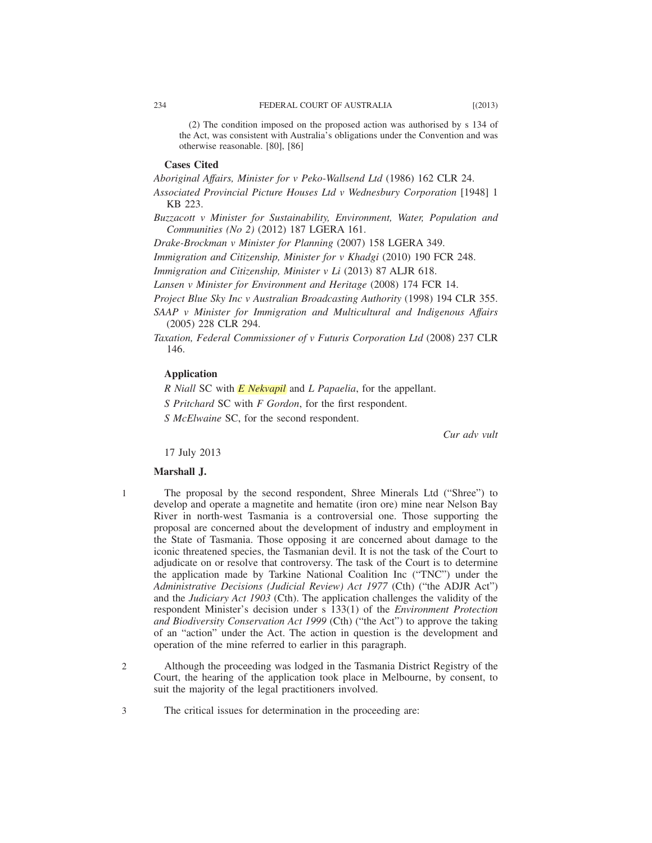(2) The condition imposed on the proposed action was authorised by s 134 of the Act, was consistent with Australia's obligations under the Convention and was otherwise reasonable. [80], [86]

## **Cases Cited**

*Aboriginal Affairs, Minister for v Peko-Wallsend Ltd* (1986) 162 CLR 24.

*Associated Provincial Picture Houses Ltd v Wednesbury Corporation* [1948] 1 KB 223.

*Buzzacott v Minister for Sustainability, Environment, Water, Population and Communities (No 2)* (2012) 187 LGERA 161.

*Drake-Brockman v Minister for Planning* (2007) 158 LGERA 349.

*Immigration and Citizenship, Minister for v Khadgi* (2010) 190 FCR 248.

*Immigration and Citizenship, Minister v Li* (2013) 87 ALJR 618.

*Lansen v Minister for Environment and Heritage* (2008) 174 FCR 14.

*Project Blue Sky Inc v Australian Broadcasting Authority* (1998) 194 CLR 355.

*SAAP v Minister for Immigration and Multicultural and Indigenous Affairs* (2005) 228 CLR 294.

*Taxation, Federal Commissioner of v Futuris Corporation Ltd* (2008) 237 CLR 146.

# **Application**

*R Niall* SC with *E Nekvapil* and *L Papaelia*, for the appellant.

*S Pritchard* SC with *F Gordon*, for the first respondent.

*S McElwaine* SC, for the second respondent.

*Cur adv vult*

17 July 2013

#### **Marshall J.**

1

The proposal by the second respondent, Shree Minerals Ltd ("Shree") to develop and operate a magnetite and hematite (iron ore) mine near Nelson Bay River in north-west Tasmania is a controversial one. Those supporting the proposal are concerned about the development of industry and employment in the State of Tasmania. Those opposing it are concerned about damage to the iconic threatened species, the Tasmanian devil. It is not the task of the Court to adjudicate on or resolve that controversy. The task of the Court is to determine the application made by Tarkine National Coalition Inc ("TNC") under the *Administrative Decisions (Judicial Review) Act 1977* (Cth) ("the ADJR Act") and the *Judiciary Act 1903* (Cth). The application challenges the validity of the respondent Minister's decision under s 133(1) of the *Environment Protection and Biodiversity Conservation Act 1999* (Cth) ("the Act") to approve the taking of an "action" under the Act. The action in question is the development and operation of the mine referred to earlier in this paragraph.

Although the proceeding was lodged in the Tasmania District Registry of the Court, the hearing of the application took place in Melbourne, by consent, to suit the majority of the legal practitioners involved. 2

The critical issues for determination in the proceeding are: 3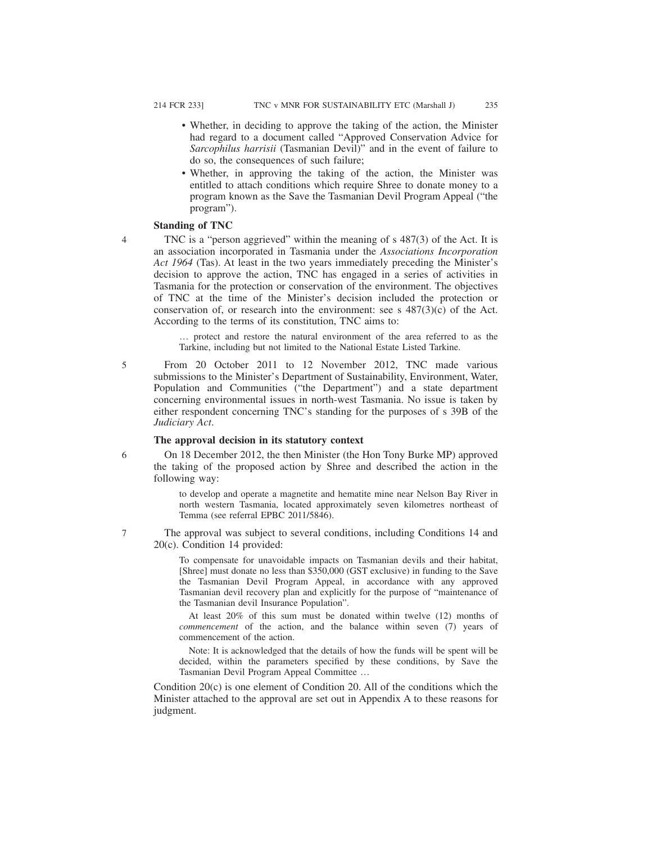- Whether, in deciding to approve the taking of the action, the Minister had regard to a document called "Approved Conservation Advice for *Sarcophilus harrisii* (Tasmanian Devil)" and in the event of failure to do so, the consequences of such failure;
- Whether, in approving the taking of the action, the Minister was entitled to attach conditions which require Shree to donate money to a program known as the Save the Tasmanian Devil Program Appeal ("the program").

## **Standing of TNC**

4

TNC is a "person aggrieved" within the meaning of s 487(3) of the Act. It is an association incorporated in Tasmania under the *Associations Incorporation Act 1964* (Tas). At least in the two years immediately preceding the Minister's decision to approve the action, TNC has engaged in a series of activities in Tasmania for the protection or conservation of the environment. The objectives of TNC at the time of the Minister's decision included the protection or conservation of, or research into the environment: see s  $487(3)(c)$  of the Act. According to the terms of its constitution, TNC aims to:

… protect and restore the natural environment of the area referred to as the Tarkine, including but not limited to the National Estate Listed Tarkine.

5

From 20 October 2011 to 12 November 2012, TNC made various submissions to the Minister's Department of Sustainability, Environment, Water, Population and Communities ("the Department") and a state department concerning environmental issues in north-west Tasmania. No issue is taken by either respondent concerning TNC's standing for the purposes of s 39B of the *Judiciary Act*.

## **The approval decision in its statutory context**

6

7

On 18 December 2012, the then Minister (the Hon Tony Burke MP) approved the taking of the proposed action by Shree and described the action in the following way:

to develop and operate a magnetite and hematite mine near Nelson Bay River in north western Tasmania, located approximately seven kilometres northeast of Temma (see referral EPBC 2011/5846).

The approval was subject to several conditions, including Conditions 14 and 20(c). Condition 14 provided:

> To compensate for unavoidable impacts on Tasmanian devils and their habitat, [Shree] must donate no less than \$350,000 (GST exclusive) in funding to the Save the Tasmanian Devil Program Appeal, in accordance with any approved Tasmanian devil recovery plan and explicitly for the purpose of "maintenance of the Tasmanian devil Insurance Population".

> At least 20% of this sum must be donated within twelve (12) months of *commencement* of the action, and the balance within seven (7) years of commencement of the action.

> Note: It is acknowledged that the details of how the funds will be spent will be decided, within the parameters specified by these conditions, by Save the Tasmanian Devil Program Appeal Committee …

Condition  $20(c)$  is one element of Condition 20. All of the conditions which the Minister attached to the approval are set out in Appendix A to these reasons for judgment.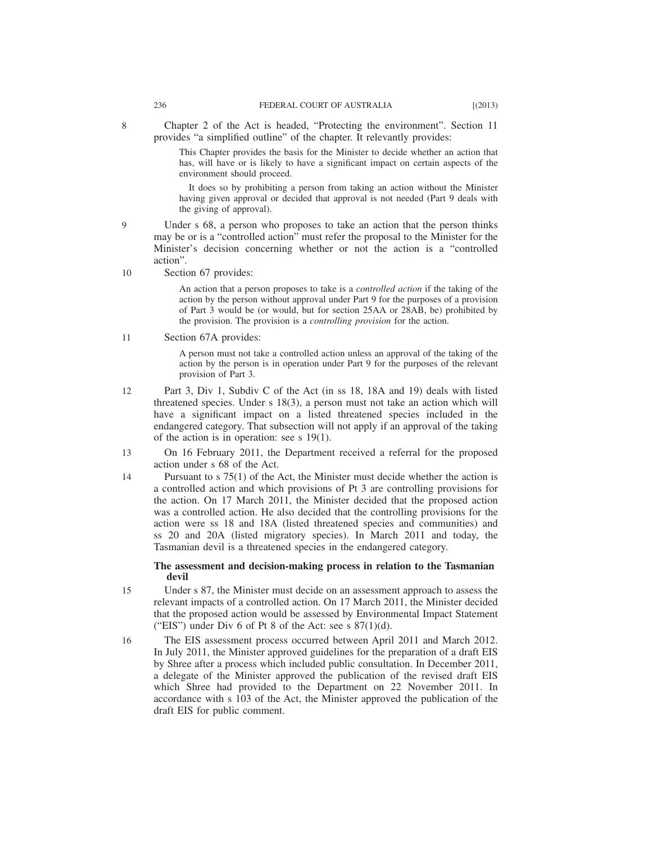This Chapter provides the basis for the Minister to decide whether an action that has, will have or is likely to have a significant impact on certain aspects of the environment should proceed.

It does so by prohibiting a person from taking an action without the Minister having given approval or decided that approval is not needed (Part 9 deals with the giving of approval).

- Under s 68, a person who proposes to take an action that the person thinks may be or is a "controlled action" must refer the proposal to the Minister for the Minister's decision concerning whether or not the action is a "controlled action".  $\mathbf Q$
- Section 67 provides: 10

An action that a person proposes to take is a *controlled action* if the taking of the action by the person without approval under Part 9 for the purposes of a provision of Part 3 would be (or would, but for section 25AA or 28AB, be) prohibited by the provision. The provision is a *controlling provision* for the action.

Section 67A provides: 11

> A person must not take a controlled action unless an approval of the taking of the action by the person is in operation under Part 9 for the purposes of the relevant provision of Part 3.

- Part 3, Div 1, Subdiv C of the Act (in ss 18, 18A and 19) deals with listed threatened species. Under s 18(3), a person must not take an action which will have a significant impact on a listed threatened species included in the endangered category. That subsection will not apply if an approval of the taking of the action is in operation: see s 19(1). 12
- On 16 February 2011, the Department received a referral for the proposed action under s 68 of the Act. 13
- Pursuant to s 75(1) of the Act, the Minister must decide whether the action is a controlled action and which provisions of Pt 3 are controlling provisions for the action. On 17 March 2011, the Minister decided that the proposed action was a controlled action. He also decided that the controlling provisions for the action were ss 18 and 18A (listed threatened species and communities) and ss 20 and 20A (listed migratory species). In March 2011 and today, the Tasmanian devil is a threatened species in the endangered category. 14

## **The assessment and decision-making process in relation to the Tasmanian devil**

- Under s 87, the Minister must decide on an assessment approach to assess the relevant impacts of a controlled action. On 17 March 2011, the Minister decided that the proposed action would be assessed by Environmental Impact Statement ("EIS") under Div 6 of Pt 8 of the Act: see s  $87(1)(d)$ . 15
- The EIS assessment process occurred between April 2011 and March 2012. In July 2011, the Minister approved guidelines for the preparation of a draft EIS by Shree after a process which included public consultation. In December 2011, a delegate of the Minister approved the publication of the revised draft EIS which Shree had provided to the Department on 22 November 2011. In accordance with s 103 of the Act, the Minister approved the publication of the draft EIS for public comment. 16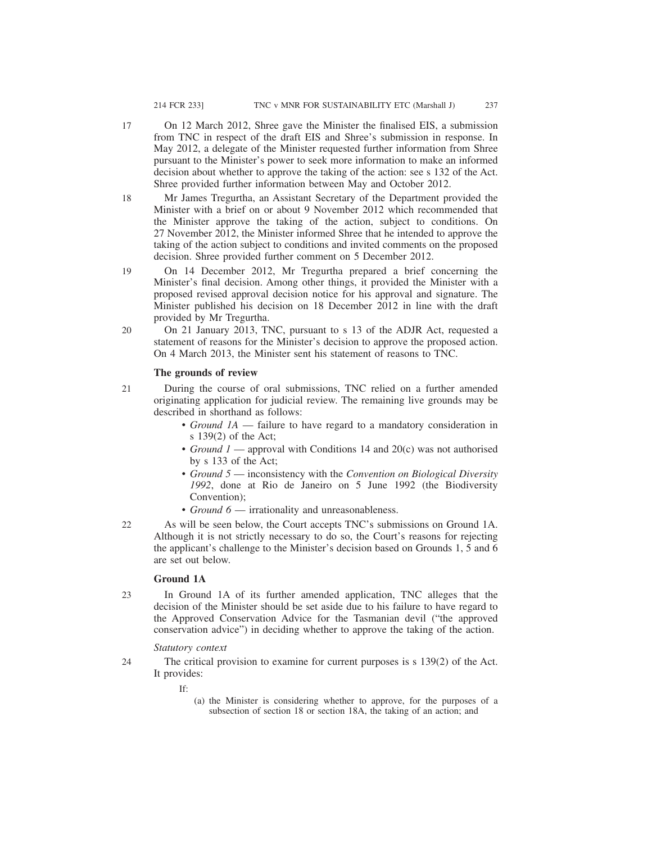- On 12 March 2012, Shree gave the Minister the finalised EIS, a submission from TNC in respect of the draft EIS and Shree's submission in response. In May 2012, a delegate of the Minister requested further information from Shree pursuant to the Minister's power to seek more information to make an informed decision about whether to approve the taking of the action: see s 132 of the Act. Shree provided further information between May and October 2012. 17
- Mr James Tregurtha, an Assistant Secretary of the Department provided the Minister with a brief on or about 9 November 2012 which recommended that the Minister approve the taking of the action, subject to conditions. On 27 November 2012, the Minister informed Shree that he intended to approve the taking of the action subject to conditions and invited comments on the proposed decision. Shree provided further comment on 5 December 2012. 18
- On 14 December 2012, Mr Tregurtha prepared a brief concerning the Minister's final decision. Among other things, it provided the Minister with a proposed revised approval decision notice for his approval and signature. The Minister published his decision on 18 December 2012 in line with the draft provided by Mr Tregurtha. 19
- On 21 January 2013, TNC, pursuant to s 13 of the ADJR Act, requested a statement of reasons for the Minister's decision to approve the proposed action. On 4 March 2013, the Minister sent his statement of reasons to TNC. 20

#### **The grounds of review**

- During the course of oral submissions, TNC relied on a further amended originating application for judicial review. The remaining live grounds may be described in shorthand as follows: 21
	- *Ground 1A* failure to have regard to a mandatory consideration in s 139(2) of the Act;
	- *Ground 1* approval with Conditions 14 and 20(c) was not authorised by s 133 of the Act;
	- *Ground 5* inconsistency with the *Convention on Biological Diversity 1992*, done at Rio de Janeiro on 5 June 1992 (the Biodiversity Convention);
	- *Ground 6* irrationality and unreasonableness.
- As will be seen below, the Court accepts TNC's submissions on Ground 1A. Although it is not strictly necessary to do so, the Court's reasons for rejecting the applicant's challenge to the Minister's decision based on Grounds 1, 5 and 6 are set out below. 22

## **Ground 1A**

In Ground 1A of its further amended application, TNC alleges that the decision of the Minister should be set aside due to his failure to have regard to the Approved Conservation Advice for the Tasmanian devil ("the approved conservation advice") in deciding whether to approve the taking of the action. 23

#### *Statutory context*

- The critical provision to examine for current purposes is s 139(2) of the Act. It provides: 24
	- If:
- (a) the Minister is considering whether to approve, for the purposes of a subsection of section 18 or section 18A, the taking of an action; and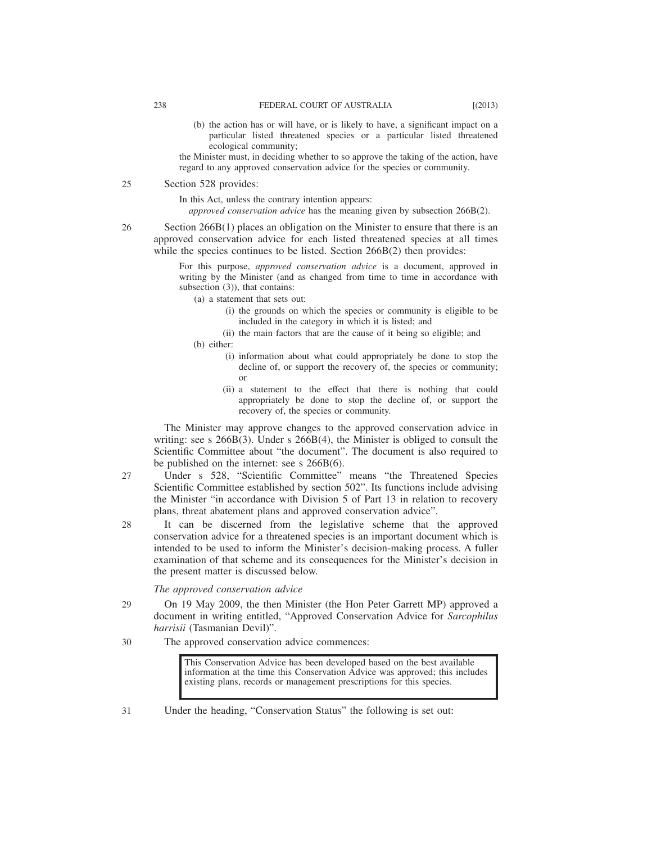(b) the action has or will have, or is likely to have, a significant impact on a particular listed threatened species or a particular listed threatened ecological community;

the Minister must, in deciding whether to so approve the taking of the action, have regard to any approved conservation advice for the species or community.

#### Section 528 provides: 25

In this Act, unless the contrary intention appears:

*approved conservation advice* has the meaning given by subsection 266B(2).

Section 266B(1) places an obligation on the Minister to ensure that there is an approved conservation advice for each listed threatened species at all times while the species continues to be listed. Section 266B(2) then provides:

> For this purpose, *approved conservation advice* is a document, approved in writing by the Minister (and as changed from time to time in accordance with subsection (3)), that contains:

(a) a statement that sets out:

- (i) the grounds on which the species or community is eligible to be included in the category in which it is listed; and
- (ii) the main factors that are the cause of it being so eligible; and
- (b) either:
	- (i) information about what could appropriately be done to stop the decline of, or support the recovery of, the species or community; or
	- (ii) a statement to the effect that there is nothing that could appropriately be done to stop the decline of, or support the recovery of, the species or community.

The Minister may approve changes to the approved conservation advice in writing: see s 266B(3). Under s 266B(4), the Minister is obliged to consult the Scientific Committee about "the document". The document is also required to be published on the internet: see s 266B(6).

- Under s 528, "Scientific Committee" means "the Threatened Species Scientific Committee established by section 502". Its functions include advising the Minister "in accordance with Division 5 of Part 13 in relation to recovery plans, threat abatement plans and approved conservation advice". 27
- It can be discerned from the legislative scheme that the approved conservation advice for a threatened species is an important document which is intended to be used to inform the Minister's decision-making process. A fuller examination of that scheme and its consequences for the Minister's decision in the present matter is discussed below. 28

*The approved conservation advice*

- On 19 May 2009, the then Minister (the Hon Peter Garrett MP) approved a document in writing entitled, "Approved Conservation Advice for *Sarcophilus harrisii* (Tasmanian Devil)". 29
- The approved conservation advice commences: 30

This Conservation Advice has been developed based on the best available information at the time this Conservation Advice was approved; this includes existing plans, records or management prescriptions for this species.

Under the heading, "Conservation Status" the following is set out: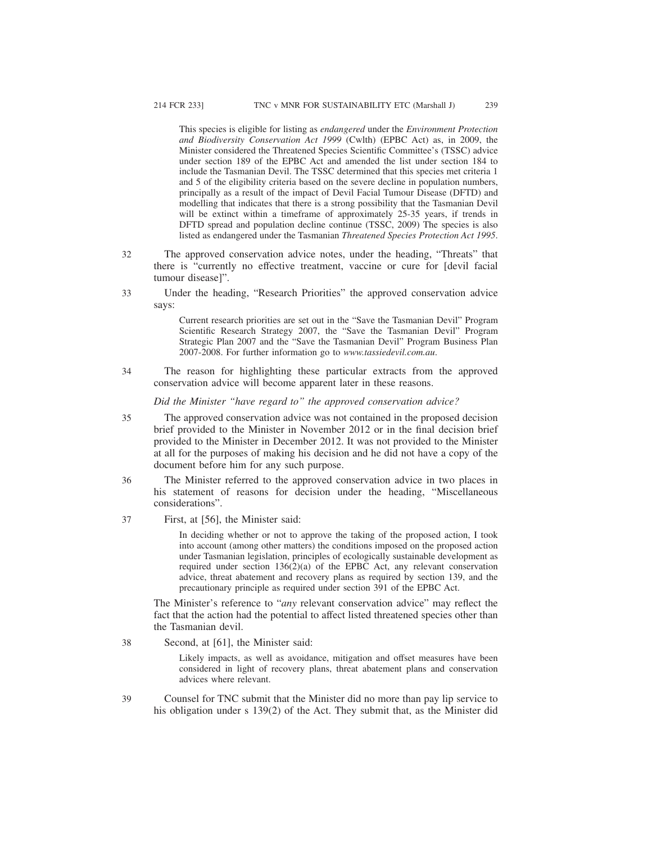This species is eligible for listing as *endangered* under the *Environment Protection and Biodiversity Conservation Act 1999* (Cwlth) (EPBC Act) as, in 2009, the Minister considered the Threatened Species Scientific Committee's (TSSC) advice under section 189 of the EPBC Act and amended the list under section 184 to include the Tasmanian Devil. The TSSC determined that this species met criteria 1 and 5 of the eligibility criteria based on the severe decline in population numbers, principally as a result of the impact of Devil Facial Tumour Disease (DFTD) and modelling that indicates that there is a strong possibility that the Tasmanian Devil will be extinct within a timeframe of approximately 25-35 years, if trends in DFTD spread and population decline continue (TSSC, 2009) The species is also listed as endangered under the Tasmanian *Threatened Species Protection Act 1995*.

- The approved conservation advice notes, under the heading, "Threats" that there is "currently no effective treatment, vaccine or cure for [devil facial tumour disease]". 32
- Under the heading, "Research Priorities" the approved conservation advice says: 33

Current research priorities are set out in the "Save the Tasmanian Devil" Program Scientific Research Strategy 2007, the "Save the Tasmanian Devil" Program Strategic Plan 2007 and the "Save the Tasmanian Devil" Program Business Plan 2007-2008. For further information go to *www.tassiedevil.com.au*.

The reason for highlighting these particular extracts from the approved conservation advice will become apparent later in these reasons. 34

*Did the Minister "have regard to" the approved conservation advice?*

- The approved conservation advice was not contained in the proposed decision brief provided to the Minister in November 2012 or in the final decision brief provided to the Minister in December 2012. It was not provided to the Minister at all for the purposes of making his decision and he did not have a copy of the document before him for any such purpose. 35
- The Minister referred to the approved conservation advice in two places in his statement of reasons for decision under the heading, "Miscellaneous considerations". 36
- First, at [56], the Minister said: 37

In deciding whether or not to approve the taking of the proposed action, I took into account (among other matters) the conditions imposed on the proposed action under Tasmanian legislation, principles of ecologically sustainable development as required under section 136(2)(a) of the EPBC Act, any relevant conservation advice, threat abatement and recovery plans as required by section 139, and the precautionary principle as required under section 391 of the EPBC Act.

The Minister's reference to "*any* relevant conservation advice" may reflect the fact that the action had the potential to affect listed threatened species other than the Tasmanian devil.

Second, at [61], the Minister said: 38

> Likely impacts, as well as avoidance, mitigation and offset measures have been considered in light of recovery plans, threat abatement plans and conservation advices where relevant.

Counsel for TNC submit that the Minister did no more than pay lip service to his obligation under s 139(2) of the Act. They submit that, as the Minister did 39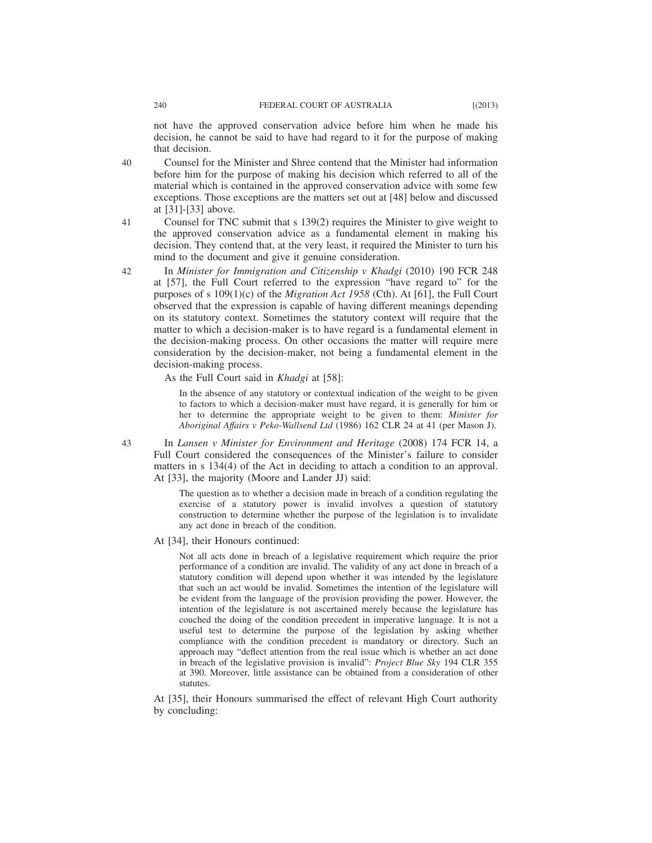not have the approved conservation advice before him when he made his decision, he cannot be said to have had regard to it for the purpose of making that decision.

Counsel for the Minister and Shree contend that the Minister had information before him for the purpose of making his decision which referred to all of the material which is contained in the approved conservation advice with some few exceptions. Those exceptions are the matters set out at [48] below and discussed at [31]-[33] above. 40

Counsel for TNC submit that s 139(2) requires the Minister to give weight to the approved conservation advice as a fundamental element in making his decision. They contend that, at the very least, it required the Minister to turn his mind to the document and give it genuine consideration.

In *Minister for Immigration and Citizenship v Khadgi* (2010) 190 FCR 248 at [57], the Full Court referred to the expression "have regard to" for the purposes of s 109(1)(c) of the *Migration Act 1958* (Cth). At [61], the Full Court observed that the expression is capable of having different meanings depending on its statutory context. Sometimes the statutory context will require that the matter to which a decision-maker is to have regard is a fundamental element in the decision-making process. On other occasions the matter will require mere consideration by the decision-maker, not being a fundamental element in the decision-making process.

As the Full Court said in *Khadgi* at [58]:

In the absence of any statutory or contextual indication of the weight to be given to factors to which a decision-maker must have regard, it is generally for him or her to determine the appropriate weight to be given to them: *Minister for Aboriginal Affairs v Peko-Wallsend Ltd* (1986) 162 CLR 24 at 41 (per Mason J).

In *Lansen v Minister for Environment and Heritage* (2008) 174 FCR 14, a Full Court considered the consequences of the Minister's failure to consider matters in s 134(4) of the Act in deciding to attach a condition to an approval. At [33], the majority (Moore and Lander JJ) said:

> The question as to whether a decision made in breach of a condition regulating the exercise of a statutory power is invalid involves a question of statutory construction to determine whether the purpose of the legislation is to invalidate any act done in breach of the condition.

At [34], their Honours continued:

Not all acts done in breach of a legislative requirement which require the prior performance of a condition are invalid. The validity of any act done in breach of a statutory condition will depend upon whether it was intended by the legislature that such an act would be invalid. Sometimes the intention of the legislature will be evident from the language of the provision providing the power. However, the intention of the legislature is not ascertained merely because the legislature has couched the doing of the condition precedent in imperative language. It is not a useful test to determine the purpose of the legislation by asking whether compliance with the condition precedent is mandatory or directory. Such an approach may "deflect attention from the real issue which is whether an act done in breach of the legislative provision is invalid": *Project Blue Sky* 194 CLR 355 at 390. Moreover, little assistance can be obtained from a consideration of other statutes.

At [35], their Honours summarised the effect of relevant High Court authority by concluding:

41

42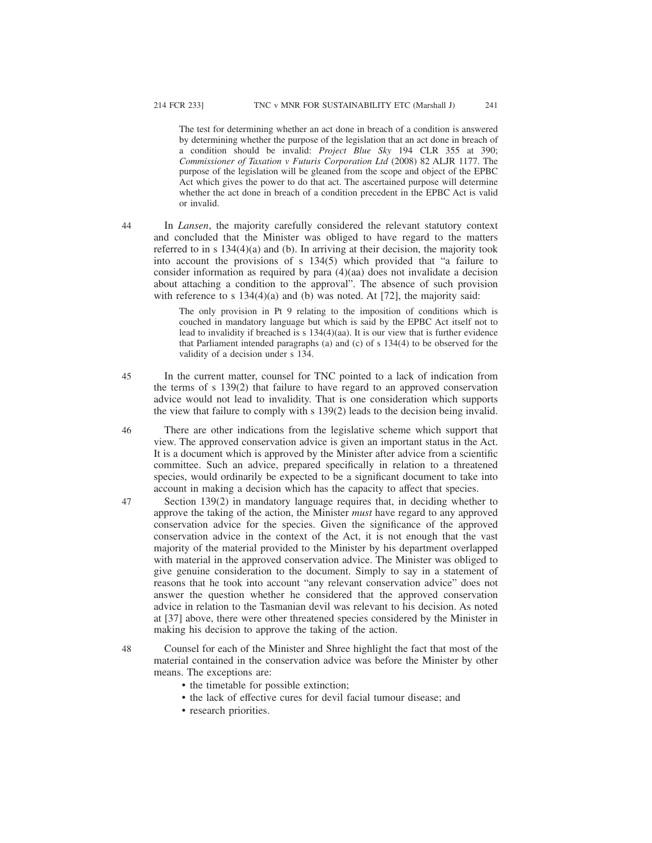The test for determining whether an act done in breach of a condition is answered by determining whether the purpose of the legislation that an act done in breach of a condition should be invalid: *Project Blue Sky* 194 CLR 355 at 390; *Commissioner of Taxation v Futuris Corporation Ltd* (2008) 82 ALJR 1177. The purpose of the legislation will be gleaned from the scope and object of the EPBC Act which gives the power to do that act. The ascertained purpose will determine whether the act done in breach of a condition precedent in the EPBC Act is valid or invalid.

In *Lansen*, the majority carefully considered the relevant statutory context and concluded that the Minister was obliged to have regard to the matters referred to in s 134(4)(a) and (b). In arriving at their decision, the majority took into account the provisions of s  $134(5)$  which provided that "a failure to consider information as required by para (4)(aa) does not invalidate a decision about attaching a condition to the approval". The absence of such provision with reference to s 134(4)(a) and (b) was noted. At [72], the majority said: 44

> The only provision in Pt 9 relating to the imposition of conditions which is couched in mandatory language but which is said by the EPBC Act itself not to lead to invalidity if breached is s 134(4)(aa). It is our view that is further evidence that Parliament intended paragraphs (a) and (c) of s 134(4) to be observed for the validity of a decision under s 134.

- In the current matter, counsel for TNC pointed to a lack of indication from the terms of s 139(2) that failure to have regard to an approved conservation advice would not lead to invalidity. That is one consideration which supports the view that failure to comply with s 139(2) leads to the decision being invalid. 45
- There are other indications from the legislative scheme which support that view. The approved conservation advice is given an important status in the Act. It is a document which is approved by the Minister after advice from a scientific committee. Such an advice, prepared specifically in relation to a threatened species, would ordinarily be expected to be a significant document to take into account in making a decision which has the capacity to affect that species. 46
- Section 139(2) in mandatory language requires that, in deciding whether to approve the taking of the action, the Minister *must* have regard to any approved conservation advice for the species. Given the significance of the approved conservation advice in the context of the Act, it is not enough that the vast majority of the material provided to the Minister by his department overlapped with material in the approved conservation advice. The Minister was obliged to give genuine consideration to the document. Simply to say in a statement of reasons that he took into account "any relevant conservation advice" does not answer the question whether he considered that the approved conservation advice in relation to the Tasmanian devil was relevant to his decision. As noted at [37] above, there were other threatened species considered by the Minister in making his decision to approve the taking of the action. 47
- Counsel for each of the Minister and Shree highlight the fact that most of the material contained in the conservation advice was before the Minister by other means. The exceptions are: 48
	- the timetable for possible extinction;
	- the lack of effective cures for devil facial tumour disease; and
	- research priorities.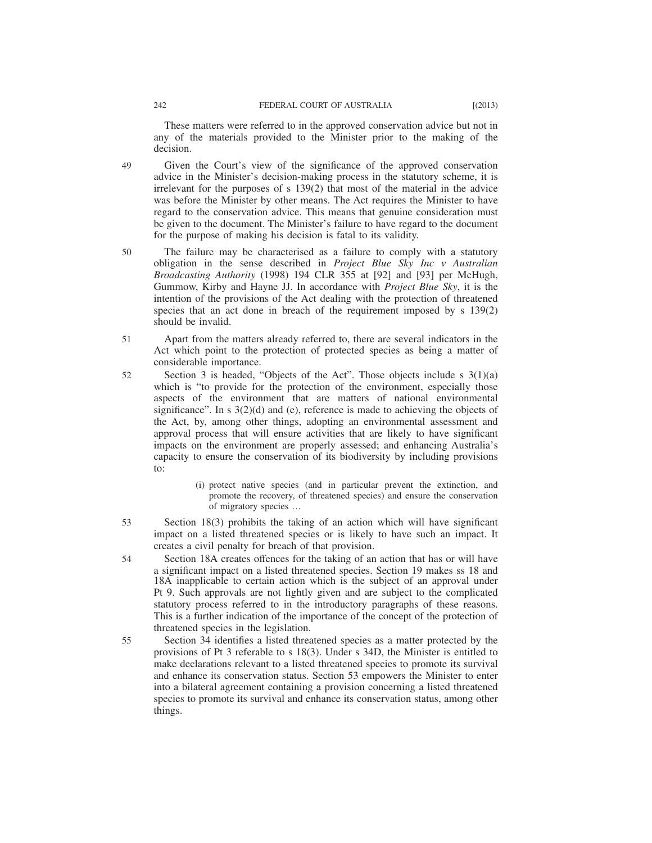These matters were referred to in the approved conservation advice but not in any of the materials provided to the Minister prior to the making of the decision.

Given the Court's view of the significance of the approved conservation advice in the Minister's decision-making process in the statutory scheme, it is irrelevant for the purposes of s 139(2) that most of the material in the advice was before the Minister by other means. The Act requires the Minister to have regard to the conservation advice. This means that genuine consideration must be given to the document. The Minister's failure to have regard to the document for the purpose of making his decision is fatal to its validity. 49

- The failure may be characterised as a failure to comply with a statutory obligation in the sense described in *Project Blue Sky Inc v Australian Broadcasting Authority* (1998) 194 CLR 355 at [92] and [93] per McHugh, Gummow, Kirby and Hayne JJ. In accordance with *Project Blue Sky*, it is the intention of the provisions of the Act dealing with the protection of threatened species that an act done in breach of the requirement imposed by s 139(2) should be invalid. 50
- Apart from the matters already referred to, there are several indicators in the Act which point to the protection of protected species as being a matter of considerable importance. 51
- Section 3 is headed, "Objects of the Act". Those objects include s  $3(1)(a)$ which is "to provide for the protection of the environment, especially those aspects of the environment that are matters of national environmental significance". In s 3(2)(d) and (e), reference is made to achieving the objects of the Act, by, among other things, adopting an environmental assessment and approval process that will ensure activities that are likely to have significant impacts on the environment are properly assessed; and enhancing Australia's capacity to ensure the conservation of its biodiversity by including provisions to: 52
	- (i) protect native species (and in particular prevent the extinction, and promote the recovery, of threatened species) and ensure the conservation of migratory species …
- Section 18(3) prohibits the taking of an action which will have significant impact on a listed threatened species or is likely to have such an impact. It creates a civil penalty for breach of that provision. 53
- Section 18A creates offences for the taking of an action that has or will have a significant impact on a listed threatened species. Section 19 makes ss 18 and 18A inapplicable to certain action which is the subject of an approval under Pt 9. Such approvals are not lightly given and are subject to the complicated statutory process referred to in the introductory paragraphs of these reasons. This is a further indication of the importance of the concept of the protection of threatened species in the legislation. 54
- Section 34 identifies a listed threatened species as a matter protected by the provisions of Pt 3 referable to s 18(3). Under s 34D, the Minister is entitled to make declarations relevant to a listed threatened species to promote its survival and enhance its conservation status. Section 53 empowers the Minister to enter into a bilateral agreement containing a provision concerning a listed threatened species to promote its survival and enhance its conservation status, among other things. 55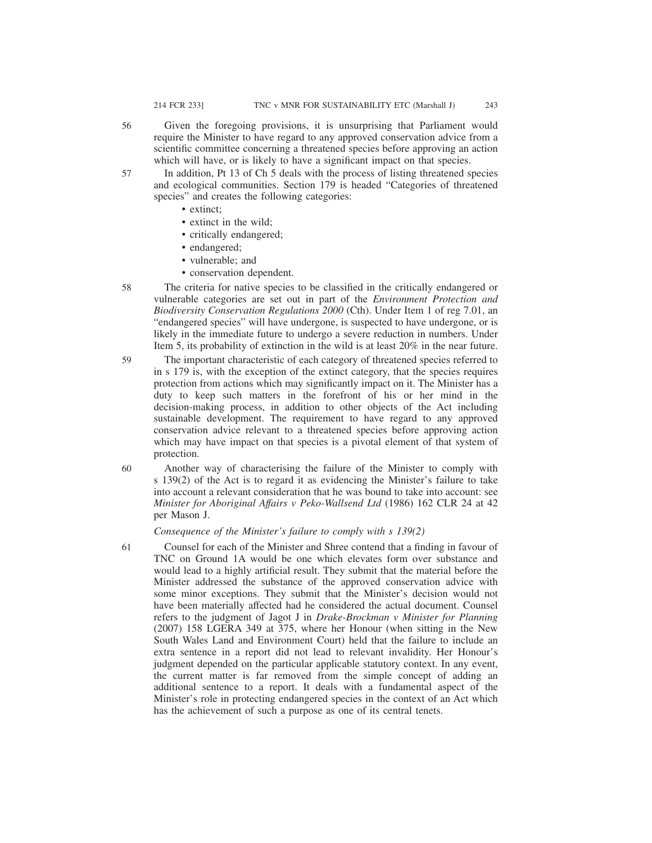Given the foregoing provisions, it is unsurprising that Parliament would require the Minister to have regard to any approved conservation advice from a scientific committee concerning a threatened species before approving an action which will have, or is likely to have a significant impact on that species. 56

In addition, Pt 13 of Ch 5 deals with the process of listing threatened species and ecological communities. Section 179 is headed "Categories of threatened species" and creates the following categories: 57

- extinct;
- extinct in the wild;
- critically endangered;
- endangered;
- vulnerable; and
- conservation dependent.

The criteria for native species to be classified in the critically endangered or vulnerable categories are set out in part of the *Environment Protection and Biodiversity Conservation Regulations 2000* (Cth). Under Item 1 of reg 7.01, an "endangered species" will have undergone, is suspected to have undergone, or is likely in the immediate future to undergo a severe reduction in numbers. Under Item 5, its probability of extinction in the wild is at least 20% in the near future. 58

The important characteristic of each category of threatened species referred to in s 179 is, with the exception of the extinct category, that the species requires protection from actions which may significantly impact on it. The Minister has a duty to keep such matters in the forefront of his or her mind in the decision-making process, in addition to other objects of the Act including sustainable development. The requirement to have regard to any approved conservation advice relevant to a threatened species before approving action which may have impact on that species is a pivotal element of that system of protection. 59

Another way of characterising the failure of the Minister to comply with s 139(2) of the Act is to regard it as evidencing the Minister's failure to take into account a relevant consideration that he was bound to take into account: see *Minister for Aboriginal Affairs v Peko-Wallsend Ltd* (1986) 162 CLR 24 at 42 per Mason J. 60

*Consequence of the Minister's failure to comply with s 139(2)*

Counsel for each of the Minister and Shree contend that a finding in favour of TNC on Ground 1A would be one which elevates form over substance and would lead to a highly artificial result. They submit that the material before the Minister addressed the substance of the approved conservation advice with some minor exceptions. They submit that the Minister's decision would not have been materially affected had he considered the actual document. Counsel refers to the judgment of Jagot J in *Drake-Brockman v Minister for Planning* (2007) 158 LGERA 349 at 375, where her Honour (when sitting in the New South Wales Land and Environment Court) held that the failure to include an extra sentence in a report did not lead to relevant invalidity. Her Honour's judgment depended on the particular applicable statutory context. In any event, the current matter is far removed from the simple concept of adding an additional sentence to a report. It deals with a fundamental aspect of the Minister's role in protecting endangered species in the context of an Act which has the achievement of such a purpose as one of its central tenets. 61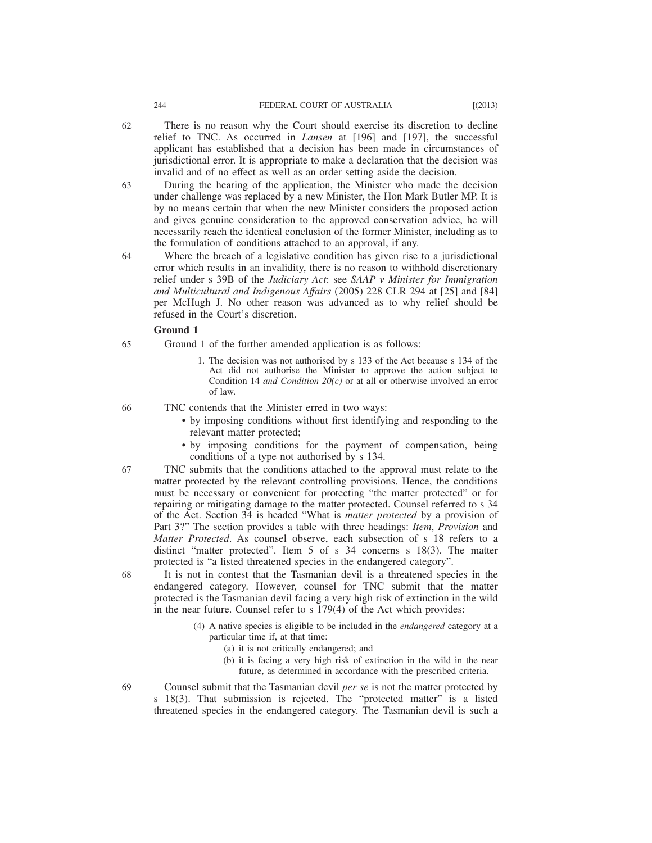- There is no reason why the Court should exercise its discretion to decline relief to TNC. As occurred in *Lansen* at [196] and [197], the successful applicant has established that a decision has been made in circumstances of jurisdictional error. It is appropriate to make a declaration that the decision was invalid and of no effect as well as an order setting aside the decision.
- During the hearing of the application, the Minister who made the decision under challenge was replaced by a new Minister, the Hon Mark Butler MP. It is by no means certain that when the new Minister considers the proposed action and gives genuine consideration to the approved conservation advice, he will necessarily reach the identical conclusion of the former Minister, including as to the formulation of conditions attached to an approval, if any. 63
- Where the breach of a legislative condition has given rise to a jurisdictional error which results in an invalidity, there is no reason to withhold discretionary relief under s 39B of the *Judiciary Act*: see *SAAP v Minister for Immigration and Multicultural and Indigenous Affairs* (2005) 228 CLR 294 at [25] and [84] per McHugh J. No other reason was advanced as to why relief should be refused in the Court's discretion. 64

#### **Ground 1**

- Ground 1 of the further amended application is as follows: 65
	- 1. The decision was not authorised by s 133 of the Act because s 134 of the Act did not authorise the Minister to approve the action subject to Condition 14 *and Condition 20(c)* or at all or otherwise involved an error of law.

TNC contends that the Minister erred in two ways: 66

- by imposing conditions without first identifying and responding to the relevant matter protected;
- by imposing conditions for the payment of compensation, being conditions of a type not authorised by s 134.
- TNC submits that the conditions attached to the approval must relate to the matter protected by the relevant controlling provisions. Hence, the conditions must be necessary or convenient for protecting "the matter protected" or for repairing or mitigating damage to the matter protected. Counsel referred to s 34 of the Act. Section 34 is headed "What is *matter protected* by a provision of Part 3?" The section provides a table with three headings: *Item*, *Provision* and *Matter Protected*. As counsel observe, each subsection of s 18 refers to a distinct "matter protected". Item 5 of s 34 concerns s 18(3). The matter protected is "a listed threatened species in the endangered category". 67
	- It is not in contest that the Tasmanian devil is a threatened species in the endangered category. However, counsel for TNC submit that the matter protected is the Tasmanian devil facing a very high risk of extinction in the wild in the near future. Counsel refer to s 179(4) of the Act which provides:
		- (4) A native species is eligible to be included in the *endangered* category at a particular time if, at that time:
			- (a) it is not critically endangered; and
			- (b) it is facing a very high risk of extinction in the wild in the near future, as determined in accordance with the prescribed criteria.
		- Counsel submit that the Tasmanian devil *per se* is not the matter protected by s 18(3). That submission is rejected. The "protected matter" is a listed threatened species in the endangered category. The Tasmanian devil is such a

62

69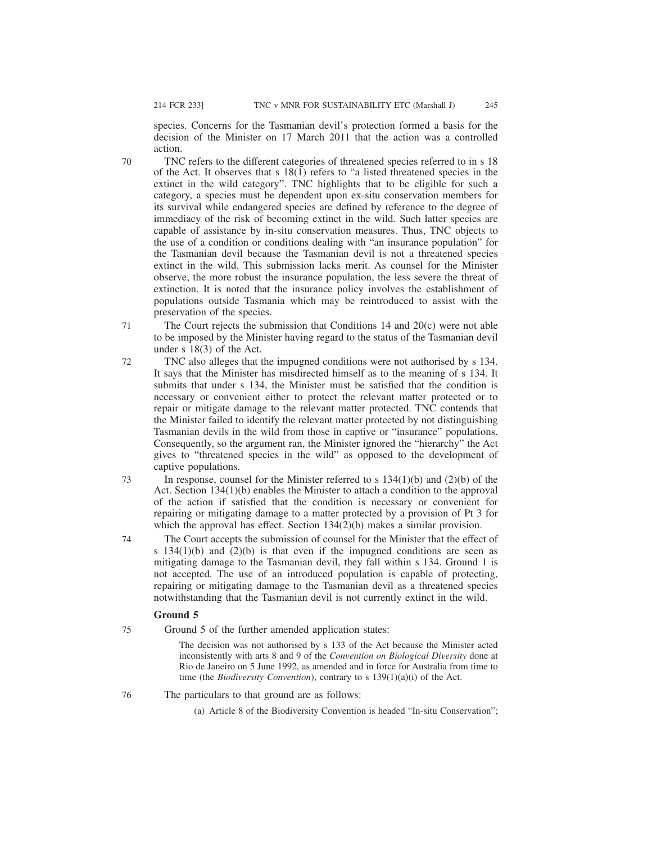species. Concerns for the Tasmanian devil's protection formed a basis for the decision of the Minister on 17 March 2011 that the action was a controlled action.

- TNC refers to the different categories of threatened species referred to in s 18 of the Act. It observes that s  $18(1)$  refers to "a listed threatened species in the extinct in the wild category". TNC highlights that to be eligible for such a category, a species must be dependent upon ex-situ conservation members for its survival while endangered species are defined by reference to the degree of immediacy of the risk of becoming extinct in the wild. Such latter species are capable of assistance by in-situ conservation measures. Thus, TNC objects to the use of a condition or conditions dealing with "an insurance population" for the Tasmanian devil because the Tasmanian devil is not a threatened species extinct in the wild. This submission lacks merit. As counsel for the Minister observe, the more robust the insurance population, the less severe the threat of extinction. It is noted that the insurance policy involves the establishment of populations outside Tasmania which may be reintroduced to assist with the preservation of the species. 70
- The Court rejects the submission that Conditions 14 and 20(c) were not able to be imposed by the Minister having regard to the status of the Tasmanian devil under s 18(3) of the Act. 71
- TNC also alleges that the impugned conditions were not authorised by s 134. It says that the Minister has misdirected himself as to the meaning of s 134. It submits that under s 134, the Minister must be satisfied that the condition is necessary or convenient either to protect the relevant matter protected or to repair or mitigate damage to the relevant matter protected. TNC contends that the Minister failed to identify the relevant matter protected by not distinguishing Tasmanian devils in the wild from those in captive or "insurance" populations. Consequently, so the argument ran, the Minister ignored the "hierarchy" the Act gives to "threatened species in the wild" as opposed to the development of captive populations. 72
- In response, counsel for the Minister referred to s  $134(1)(b)$  and  $(2)(b)$  of the Act. Section 134(1)(b) enables the Minister to attach a condition to the approval of the action if satisfied that the condition is necessary or convenient for repairing or mitigating damage to a matter protected by a provision of Pt 3 for which the approval has effect. Section 134(2)(b) makes a similar provision. 73
- The Court accepts the submission of counsel for the Minister that the effect of s  $134(1)(b)$  and  $(2)(b)$  is that even if the impugned conditions are seen as mitigating damage to the Tasmanian devil, they fall within s 134. Ground 1 is not accepted. The use of an introduced population is capable of protecting, repairing or mitigating damage to the Tasmanian devil as a threatened species notwithstanding that the Tasmanian devil is not currently extinct in the wild. 74

## **Ground 5**

75

Ground 5 of the further amended application states:

The decision was not authorised by s 133 of the Act because the Minister acted inconsistently with arts 8 and 9 of the *Convention on Biological Diversity* done at Rio de Janeiro on 5 June 1992, as amended and in force for Australia from time to time (the *Biodiversity Convention*), contrary to s 139(1)(a)(i) of the Act.

The particulars to that ground are as follows: 76

(a) Article 8 of the Biodiversity Convention is headed "In-situ Conservation";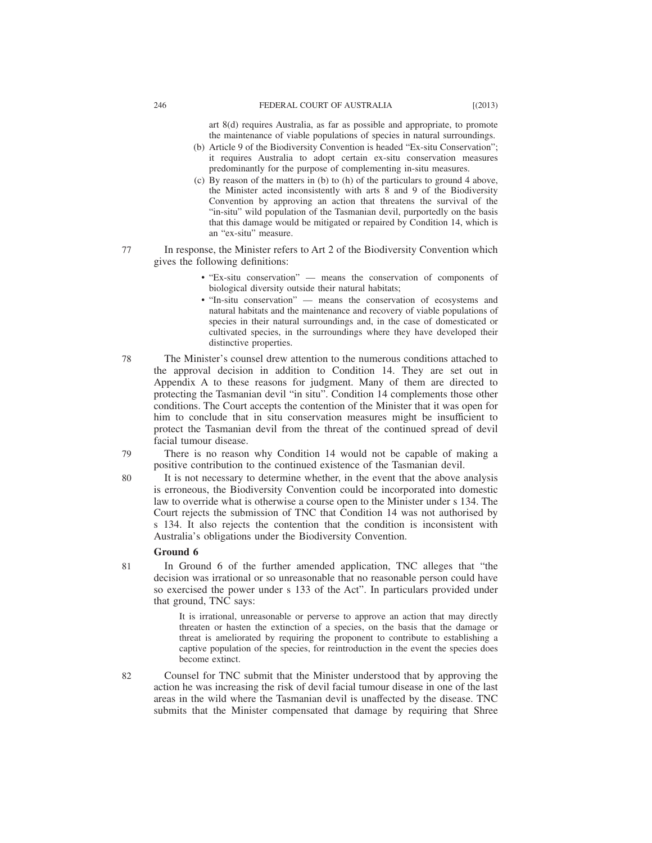art 8(d) requires Australia, as far as possible and appropriate, to promote the maintenance of viable populations of species in natural surroundings.

- (b) Article 9 of the Biodiversity Convention is headed "Ex-situ Conservation"; it requires Australia to adopt certain ex-situ conservation measures predominantly for the purpose of complementing in-situ measures.
- (c) By reason of the matters in (b) to (h) of the particulars to ground 4 above, the Minister acted inconsistently with arts 8 and 9 of the Biodiversity Convention by approving an action that threatens the survival of the "in-situ" wild population of the Tasmanian devil, purportedly on the basis that this damage would be mitigated or repaired by Condition 14, which is an "ex-situ" measure.
- In response, the Minister refers to Art 2 of the Biodiversity Convention which gives the following definitions:
	- "Ex-situ conservation" means the conservation of components of biological diversity outside their natural habitats;
	- "In-situ conservation" means the conservation of ecosystems and natural habitats and the maintenance and recovery of viable populations of species in their natural surroundings and, in the case of domesticated or cultivated species, in the surroundings where they have developed their distinctive properties.
- The Minister's counsel drew attention to the numerous conditions attached to the approval decision in addition to Condition 14. They are set out in Appendix A to these reasons for judgment. Many of them are directed to protecting the Tasmanian devil "in situ". Condition 14 complements those other conditions. The Court accepts the contention of the Minister that it was open for him to conclude that in situ conservation measures might be insufficient to protect the Tasmanian devil from the threat of the continued spread of devil facial tumour disease. 78
- There is no reason why Condition 14 would not be capable of making a positive contribution to the continued existence of the Tasmanian devil. 79
- It is not necessary to determine whether, in the event that the above analysis is erroneous, the Biodiversity Convention could be incorporated into domestic law to override what is otherwise a course open to the Minister under s 134. The Court rejects the submission of TNC that Condition 14 was not authorised by s 134. It also rejects the contention that the condition is inconsistent with Australia's obligations under the Biodiversity Convention. 80

#### **Ground 6**

82

In Ground 6 of the further amended application, TNC alleges that "the decision was irrational or so unreasonable that no reasonable person could have so exercised the power under s 133 of the Act". In particulars provided under that ground, TNC says: 81

> It is irrational, unreasonable or perverse to approve an action that may directly threaten or hasten the extinction of a species, on the basis that the damage or threat is ameliorated by requiring the proponent to contribute to establishing a captive population of the species, for reintroduction in the event the species does become extinct.

Counsel for TNC submit that the Minister understood that by approving the action he was increasing the risk of devil facial tumour disease in one of the last areas in the wild where the Tasmanian devil is unaffected by the disease. TNC submits that the Minister compensated that damage by requiring that Shree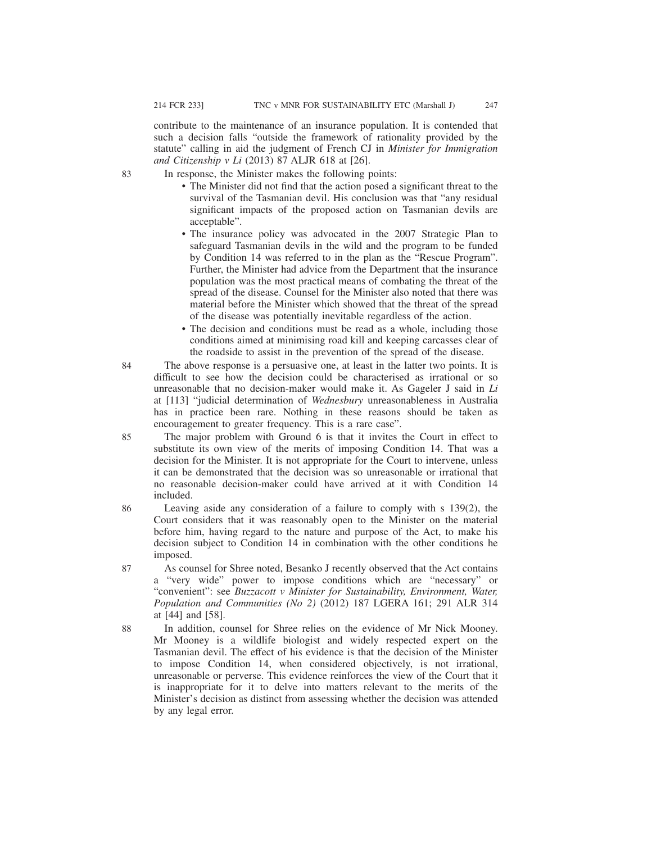83

contribute to the maintenance of an insurance population. It is contended that such a decision falls "outside the framework of rationality provided by the statute" calling in aid the judgment of French CJ in *Minister for Immigration and Citizenship v Li* (2013) 87 ALJR 618 at [26].

In response, the Minister makes the following points:

- The Minister did not find that the action posed a significant threat to the survival of the Tasmanian devil. His conclusion was that "any residual significant impacts of the proposed action on Tasmanian devils are acceptable".
- The insurance policy was advocated in the 2007 Strategic Plan to safeguard Tasmanian devils in the wild and the program to be funded by Condition 14 was referred to in the plan as the "Rescue Program". Further, the Minister had advice from the Department that the insurance population was the most practical means of combating the threat of the spread of the disease. Counsel for the Minister also noted that there was material before the Minister which showed that the threat of the spread of the disease was potentially inevitable regardless of the action.
- The decision and conditions must be read as a whole, including those conditions aimed at minimising road kill and keeping carcasses clear of the roadside to assist in the prevention of the spread of the disease.
- The above response is a persuasive one, at least in the latter two points. It is difficult to see how the decision could be characterised as irrational or so unreasonable that no decision-maker would make it. As Gageler J said in *Li* at [113] "judicial determination of *Wednesbury* unreasonableness in Australia has in practice been rare. Nothing in these reasons should be taken as encouragement to greater frequency. This is a rare case". 84
- The major problem with Ground 6 is that it invites the Court in effect to substitute its own view of the merits of imposing Condition 14. That was a decision for the Minister. It is not appropriate for the Court to intervene, unless it can be demonstrated that the decision was so unreasonable or irrational that no reasonable decision-maker could have arrived at it with Condition 14 included. 85
- Leaving aside any consideration of a failure to comply with s 139(2), the Court considers that it was reasonably open to the Minister on the material before him, having regard to the nature and purpose of the Act, to make his decision subject to Condition 14 in combination with the other conditions he imposed. 86
- As counsel for Shree noted, Besanko J recently observed that the Act contains a "very wide" power to impose conditions which are "necessary" or "convenient": see *Buzzacott v Minister for Sustainability, Environment, Water, Population and Communities (No 2)* (2012) 187 LGERA 161; 291 ALR 314 at [44] and [58]. 87
- In addition, counsel for Shree relies on the evidence of Mr Nick Mooney. Mr Mooney is a wildlife biologist and widely respected expert on the Tasmanian devil. The effect of his evidence is that the decision of the Minister to impose Condition 14, when considered objectively, is not irrational, unreasonable or perverse. This evidence reinforces the view of the Court that it is inappropriate for it to delve into matters relevant to the merits of the Minister's decision as distinct from assessing whether the decision was attended by any legal error. 88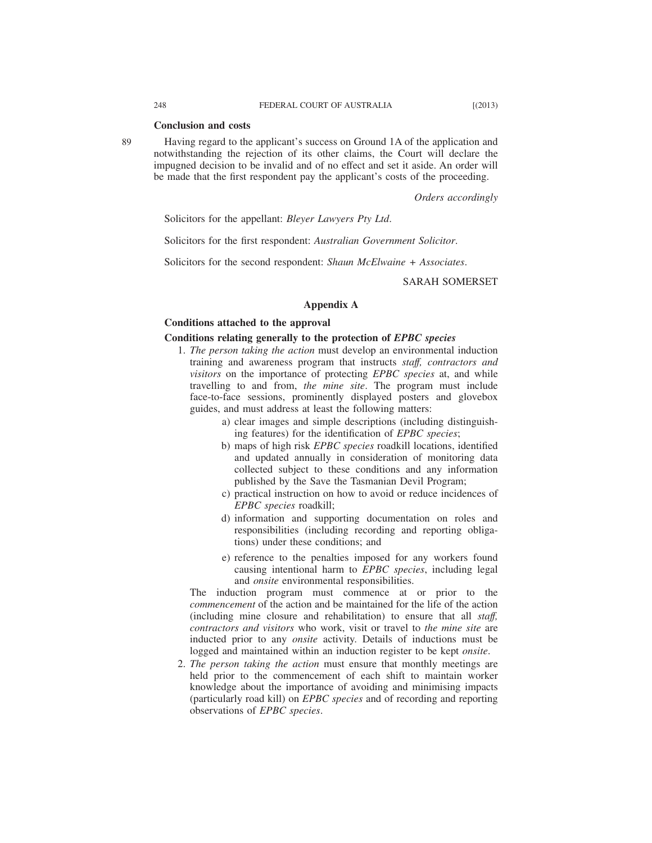#### **Conclusion and costs**

Having regard to the applicant's success on Ground 1A of the application and notwithstanding the rejection of its other claims, the Court will declare the impugned decision to be invalid and of no effect and set it aside. An order will be made that the first respondent pay the applicant's costs of the proceeding.

*Orders accordingly*

Solicitors for the appellant: *Bleyer Lawyers Pty Ltd*.

Solicitors for the first respondent: *Australian Government Solicitor*.

Solicitors for the second respondent: *Shaun McElwaine + Associates*.

## SARAH SOMERSET

## **Appendix A**

## **Conditions attached to the approval**

#### **Conditions relating generally to the protection of** *EPBC species*

- 1. *The person taking the action* must develop an environmental induction training and awareness program that instructs *staff, contractors and visitors* on the importance of protecting *EPBC species* at, and while travelling to and from, *the mine site*. The program must include face-to-face sessions, prominently displayed posters and glovebox guides, and must address at least the following matters:
	- a) clear images and simple descriptions (including distinguishing features) for the identification of *EPBC species*;
	- b) maps of high risk *EPBC species* roadkill locations, identified and updated annually in consideration of monitoring data collected subject to these conditions and any information published by the Save the Tasmanian Devil Program;
	- c) practical instruction on how to avoid or reduce incidences of *EPBC species* roadkill;
	- d) information and supporting documentation on roles and responsibilities (including recording and reporting obligations) under these conditions; and
	- e) reference to the penalties imposed for any workers found causing intentional harm to *EPBC species*, including legal and *onsite* environmental responsibilities.

The induction program must commence at or prior to the *commencement* of the action and be maintained for the life of the action (including mine closure and rehabilitation) to ensure that all *staff, contractors and visitors* who work, visit or travel to *the mine site* are inducted prior to any *onsite* activity. Details of inductions must be logged and maintained within an induction register to be kept *onsite*.

2. *The person taking the action* must ensure that monthly meetings are held prior to the commencement of each shift to maintain worker knowledge about the importance of avoiding and minimising impacts (particularly road kill) on *EPBC species* and of recording and reporting observations of *EPBC species*.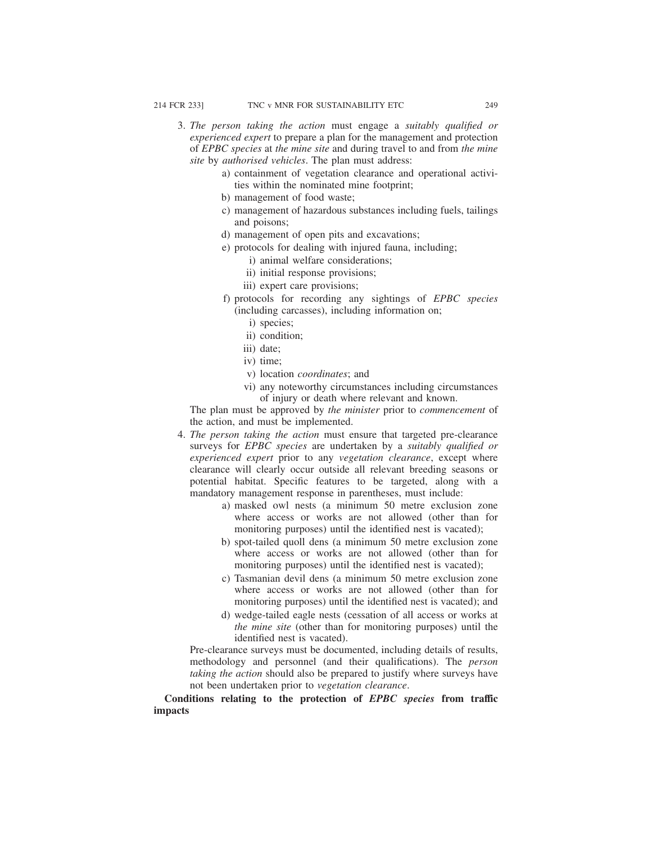- 3. *The person taking the action* must engage a *suitably qualified or experienced expert* to prepare a plan for the management and protection of *EPBC species* at *the mine site* and during travel to and from *the mine site* by *authorised vehicles*. The plan must address:
	- a) containment of vegetation clearance and operational activities within the nominated mine footprint;
	- b) management of food waste;
	- c) management of hazardous substances including fuels, tailings and poisons;
	- d) management of open pits and excavations;
	- e) protocols for dealing with injured fauna, including;
		- i) animal welfare considerations;
		- ii) initial response provisions;
		- iii) expert care provisions;
	- f) protocols for recording any sightings of *EPBC species* (including carcasses), including information on;
		- i) species;
		- ii) condition;
		- iii) date;
		- iv) time;
		- v) location *coordinates*; and
		- vi) any noteworthy circumstances including circumstances of injury or death where relevant and known.

The plan must be approved by *the minister* prior to *commencement* of the action, and must be implemented.

- 4. *The person taking the action* must ensure that targeted pre-clearance surveys for *EPBC species* are undertaken by a *suitably qualified or experienced expert* prior to any *vegetation clearance*, except where clearance will clearly occur outside all relevant breeding seasons or potential habitat. Specific features to be targeted, along with a mandatory management response in parentheses, must include:
	- a) masked owl nests (a minimum 50 metre exclusion zone where access or works are not allowed (other than for monitoring purposes) until the identified nest is vacated);
	- b) spot-tailed quoll dens (a minimum 50 metre exclusion zone where access or works are not allowed (other than for monitoring purposes) until the identified nest is vacated);
	- c) Tasmanian devil dens (a minimum 50 metre exclusion zone where access or works are not allowed (other than for monitoring purposes) until the identified nest is vacated); and
	- d) wedge-tailed eagle nests (cessation of all access or works at *the mine site* (other than for monitoring purposes) until the identified nest is vacated).

Pre-clearance surveys must be documented, including details of results, methodology and personnel (and their qualifications). The *person taking the action* should also be prepared to justify where surveys have not been undertaken prior to *vegetation clearance*.

**Conditions relating to the protection of** *EPBC species* **from traffic impacts**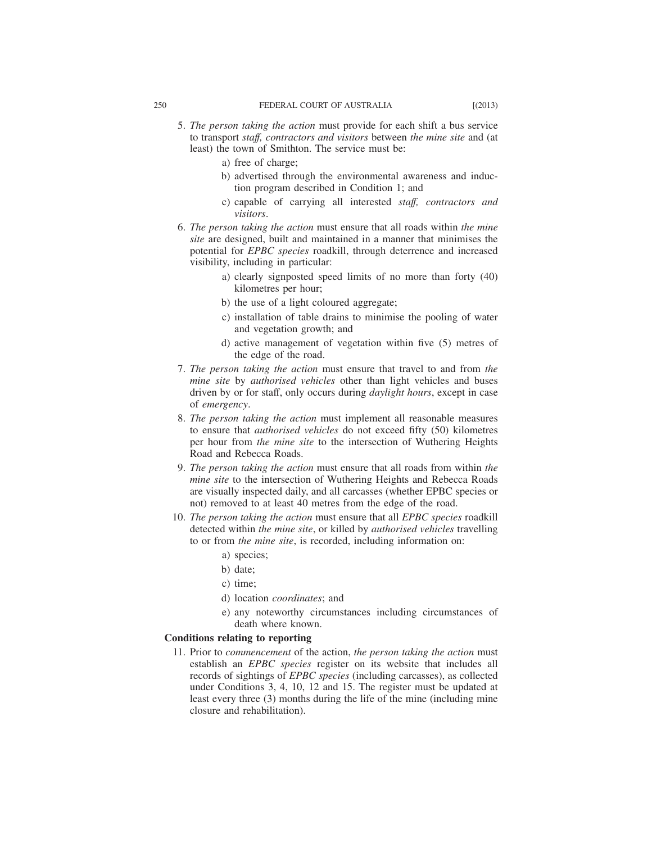- 5. *The person taking the action* must provide for each shift a bus service to transport *staff, contractors and visitors* between *the mine site* and (at least) the town of Smithton. The service must be:
	- a) free of charge;
	- b) advertised through the environmental awareness and induction program described in Condition 1; and
	- c) capable of carrying all interested *staff, contractors and visitors*.
- 6. *The person taking the action* must ensure that all roads within *the mine site* are designed, built and maintained in a manner that minimises the potential for *EPBC species* roadkill, through deterrence and increased visibility, including in particular:
	- a) clearly signposted speed limits of no more than forty (40) kilometres per hour;
	- b) the use of a light coloured aggregate;
	- c) installation of table drains to minimise the pooling of water and vegetation growth; and
	- d) active management of vegetation within five (5) metres of the edge of the road.
- 7. *The person taking the action* must ensure that travel to and from *the mine site* by *authorised vehicles* other than light vehicles and buses driven by or for staff, only occurs during *daylight hours*, except in case of *emergency*.
- 8. *The person taking the action* must implement all reasonable measures to ensure that *authorised vehicles* do not exceed fifty (50) kilometres per hour from *the mine site* to the intersection of Wuthering Heights Road and Rebecca Roads.
- 9. *The person taking the action* must ensure that all roads from within *the mine site* to the intersection of Wuthering Heights and Rebecca Roads are visually inspected daily, and all carcasses (whether EPBC species or not) removed to at least 40 metres from the edge of the road.
- 10. *The person taking the action* must ensure that all *EPBC species* roadkill detected within *the mine site*, or killed by *authorised vehicles* travelling to or from *the mine site*, is recorded, including information on:
	- a) species;
	- b) date;
	- c) time;
	- d) location *coordinates*; and
	- e) any noteworthy circumstances including circumstances of death where known.

## **Conditions relating to reporting**

11. Prior to *commencement* of the action, *the person taking the action* must establish an *EPBC species* register on its website that includes all records of sightings of *EPBC species* (including carcasses), as collected under Conditions 3, 4, 10, 12 and 15. The register must be updated at least every three (3) months during the life of the mine (including mine closure and rehabilitation).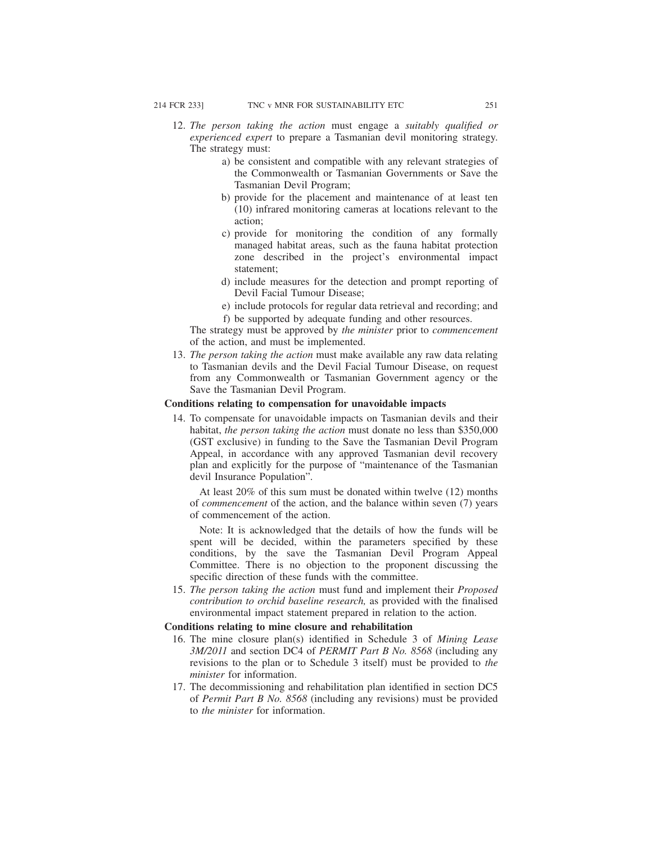- 12. *The person taking the action* must engage a *suitably qualified or experienced expert* to prepare a Tasmanian devil monitoring strategy. The strategy must:
	- a) be consistent and compatible with any relevant strategies of the Commonwealth or Tasmanian Governments or Save the Tasmanian Devil Program;
	- b) provide for the placement and maintenance of at least ten (10) infrared monitoring cameras at locations relevant to the action;
	- c) provide for monitoring the condition of any formally managed habitat areas, such as the fauna habitat protection zone described in the project's environmental impact statement;
	- d) include measures for the detection and prompt reporting of Devil Facial Tumour Disease;
	- e) include protocols for regular data retrieval and recording; and f) be supported by adequate funding and other resources.

The strategy must be approved by *the minister* prior to *commencement* of the action, and must be implemented.

13. *The person taking the action* must make available any raw data relating to Tasmanian devils and the Devil Facial Tumour Disease, on request from any Commonwealth or Tasmanian Government agency or the Save the Tasmanian Devil Program.

# **Conditions relating to compensation for unavoidable impacts**

14. To compensate for unavoidable impacts on Tasmanian devils and their habitat, *the person taking the action* must donate no less than \$350,000 (GST exclusive) in funding to the Save the Tasmanian Devil Program Appeal, in accordance with any approved Tasmanian devil recovery plan and explicitly for the purpose of "maintenance of the Tasmanian devil Insurance Population".

At least 20% of this sum must be donated within twelve (12) months of *commencement* of the action, and the balance within seven (7) years of commencement of the action.

Note: It is acknowledged that the details of how the funds will be spent will be decided, within the parameters specified by these conditions, by the save the Tasmanian Devil Program Appeal Committee. There is no objection to the proponent discussing the specific direction of these funds with the committee.

15. *The person taking the action* must fund and implement their *Proposed contribution to orchid baseline research,* as provided with the finalised environmental impact statement prepared in relation to the action.

#### **Conditions relating to mine closure and rehabilitation**

- 16. The mine closure plan(s) identified in Schedule 3 of *Mining Lease 3M/2011* and section DC4 of *PERMIT Part B No. 8568* (including any revisions to the plan or to Schedule 3 itself) must be provided to *the minister* for information.
- 17. The decommissioning and rehabilitation plan identified in section DC5 of *Permit Part B No. 8568* (including any revisions) must be provided to *the minister* for information.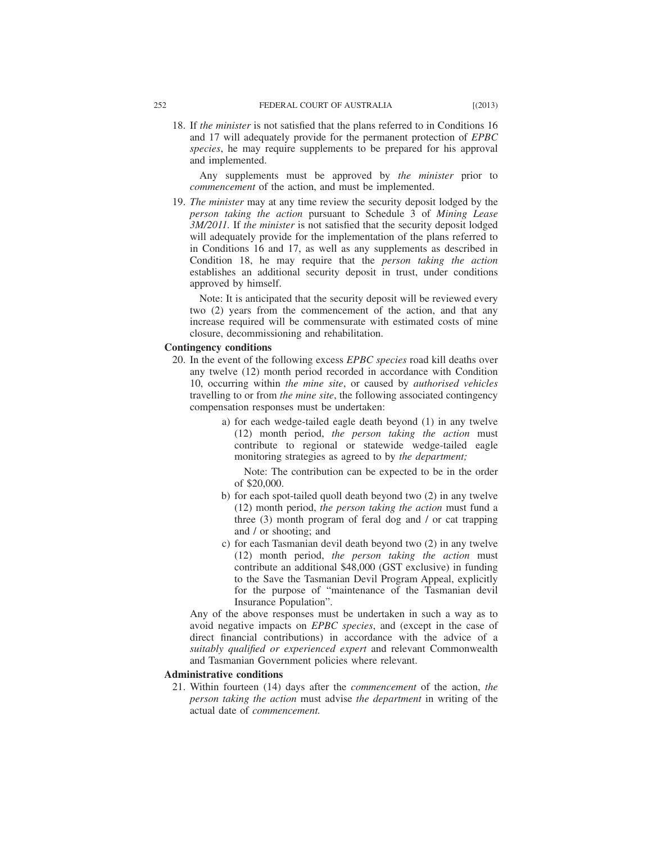18. If *the minister* is not satisfied that the plans referred to in Conditions 16 and 17 will adequately provide for the permanent protection of *EPBC species*, he may require supplements to be prepared for his approval and implemented.

Any supplements must be approved by *the minister* prior to *commencement* of the action, and must be implemented.

19. *The minister* may at any time review the security deposit lodged by the *person taking the action* pursuant to Schedule 3 of *Mining Lease 3M/2011.* If *the minister* is not satisfied that the security deposit lodged will adequately provide for the implementation of the plans referred to in Conditions 16 and 17, as well as any supplements as described in Condition 18, he may require that the *person taking the action* establishes an additional security deposit in trust, under conditions approved by himself.

Note: It is anticipated that the security deposit will be reviewed every two (2) years from the commencement of the action, and that any increase required will be commensurate with estimated costs of mine closure, decommissioning and rehabilitation.

# **Contingency conditions**

- 20. In the event of the following excess *EPBC species* road kill deaths over any twelve (12) month period recorded in accordance with Condition 10, occurring within *the mine site*, or caused by *authorised vehicles* travelling to or from *the mine site*, the following associated contingency compensation responses must be undertaken:
	- a) for each wedge-tailed eagle death beyond (1) in any twelve (12) month period, *the person taking the action* must contribute to regional or statewide wedge-tailed eagle monitoring strategies as agreed to by *the department;*

Note: The contribution can be expected to be in the order of \$20,000.

- b) for each spot-tailed quoll death beyond two (2) in any twelve (12) month period, *the person taking the action* must fund a three (3) month program of feral dog and / or cat trapping and / or shooting; and
- c) for each Tasmanian devil death beyond two (2) in any twelve (12) month period, *the person taking the action* must contribute an additional \$48,000 (GST exclusive) in funding to the Save the Tasmanian Devil Program Appeal, explicitly for the purpose of "maintenance of the Tasmanian devil Insurance Population".

Any of the above responses must be undertaken in such a way as to avoid negative impacts on *EPBC species*, and (except in the case of direct financial contributions) in accordance with the advice of a *suitably qualified or experienced expert* and relevant Commonwealth and Tasmanian Government policies where relevant.

## **Administrative conditions**

21. Within fourteen (14) days after the *commencement* of the action, *the person taking the action* must advise *the department* in writing of the actual date of *commencement.*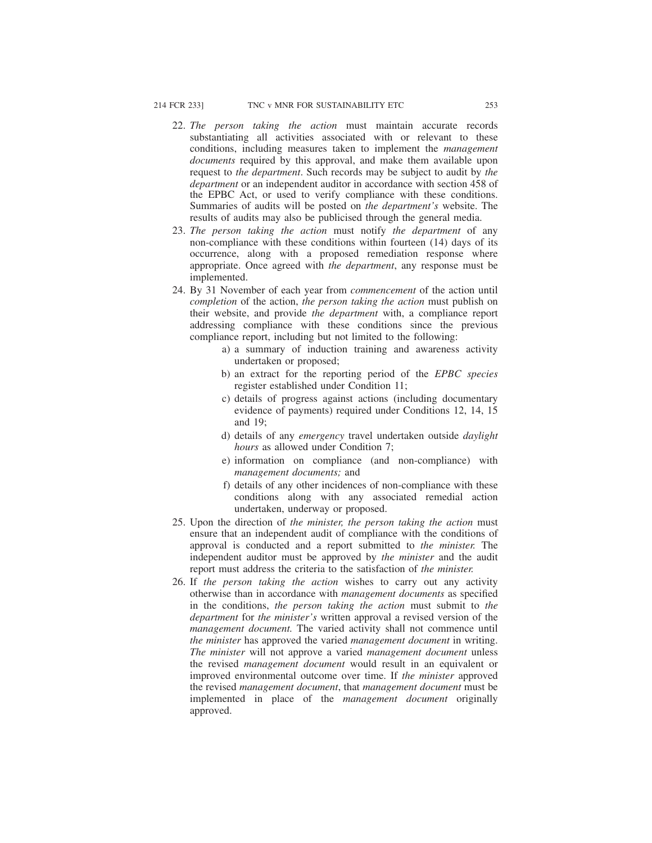- 22. *The person taking the action* must maintain accurate records substantiating all activities associated with or relevant to these conditions, including measures taken to implement the *management documents* required by this approval, and make them available upon request to *the department*. Such records may be subject to audit by *the department* or an independent auditor in accordance with section 458 of the EPBC Act, or used to verify compliance with these conditions. Summaries of audits will be posted on *the department's* website. The results of audits may also be publicised through the general media.
- 23. *The person taking the action* must notify *the department* of any non-compliance with these conditions within fourteen (14) days of its occurrence, along with a proposed remediation response where appropriate. Once agreed with *the department*, any response must be implemented.
- 24. By 31 November of each year from *commencement* of the action until *completion* of the action, *the person taking the action* must publish on their website, and provide *the department* with, a compliance report addressing compliance with these conditions since the previous compliance report, including but not limited to the following:
	- a) a summary of induction training and awareness activity undertaken or proposed;
	- b) an extract for the reporting period of the *EPBC species* register established under Condition 11;
	- c) details of progress against actions (including documentary evidence of payments) required under Conditions 12, 14, 15 and 19;
	- d) details of any *emergency* travel undertaken outside *daylight hours* as allowed under Condition 7:
	- e) information on compliance (and non-compliance) with *management documents;* and
	- f) details of any other incidences of non-compliance with these conditions along with any associated remedial action undertaken, underway or proposed.
- 25. Upon the direction of *the minister, the person taking the action* must ensure that an independent audit of compliance with the conditions of approval is conducted and a report submitted to *the minister.* The independent auditor must be approved by *the minister* and the audit report must address the criteria to the satisfaction of *the minister.*
- 26. If *the person taking the action* wishes to carry out any activity otherwise than in accordance with *management documents* as specified in the conditions, *the person taking the action* must submit to *the department* for *the minister's* written approval a revised version of the *management document.* The varied activity shall not commence until *the minister* has approved the varied *management document* in writing. *The minister* will not approve a varied *management document* unless the revised *management document* would result in an equivalent or improved environmental outcome over time. If *the minister* approved the revised *management document*, that *management document* must be implemented in place of the *management document* originally approved.